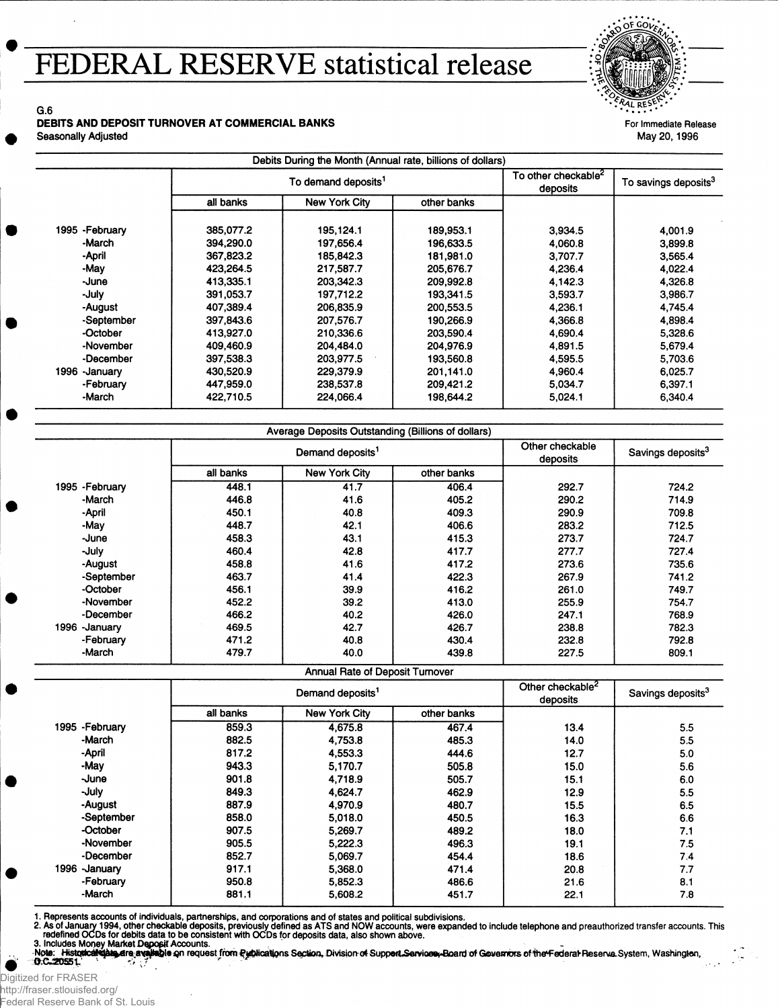## **FEDERAL RESERVE statistical release**



For Immediate Release May 20,1996

G.6

#### **DEBITS AND DEPOSIT TURNOVER AT COMMERCIAL BANKS**

Seasonally Adjusted

|                 | To demand deposits <sup>1</sup> |               |             | To other checkable <sup>2</sup><br>deposits | To savings deposits <sup>3</sup> |
|-----------------|---------------------------------|---------------|-------------|---------------------------------------------|----------------------------------|
|                 | all banks                       | New York City | other banks |                                             |                                  |
| 1995 - February | 385,077.2                       | 195.124.1     | 189,953.1   | 3,934.5                                     | 4,001.9                          |
| -March          | 394,290.0                       | 197,656.4     | 196,633.5   | 4,060.8                                     | 3,899.8                          |
| -April          | 367,823.2                       | 185.842.3     | 181,981.0   | 3,707.7                                     | 3,565.4                          |
| -May            | 423.264.5                       | 217,587.7     | 205,676.7   | 4,236.4                                     | 4,022.4                          |
| -June           | 413,335.1                       | 203,342.3     | 209,992.8   | 4.142.3                                     | 4,326.8                          |
| -July           | 391.053.7                       | 197,712.2     | 193,341.5   | 3,593.7                                     | 3,986.7                          |
| -August         | 407,389.4                       | 206,835.9     | 200,553.5   | 4,236.1                                     | 4,745.4                          |
| -September      | 397,843.6                       | 207,576.7     | 190,266.9   | 4.366.8                                     | 4,898.4                          |
| -October        | 413.927.0                       | 210,336.6     | 203,590.4   | 4,690.4                                     | 5,328.6                          |
| -November       | 409,460.9                       | 204,484.0     | 204,976.9   | 4,891.5                                     | 5,679.4                          |
| -December       | 397,538.3                       | 203,977.5     | 193,560.8   | 4,595.5                                     | 5,703.6                          |
| 1996 - January  | 430,520.9                       | 229,379.9     | 201,141.0   | 4,960.4                                     | 6,025.7                          |
| -February       | 447.959.0                       | 238,537.8     | 209,421.2   | 5,034.7                                     | 6,397.1                          |
| -March          | 422,710.5                       | 224,066.4     | 198,644.2   | 5,024.1                                     | 6,340.4                          |

|                 |                              | Average Deposits Outstanding (Billions of dollars) |             |                             |                               |
|-----------------|------------------------------|----------------------------------------------------|-------------|-----------------------------|-------------------------------|
|                 | Demand deposits <sup>1</sup> |                                                    |             | Other checkable<br>deposits | Savings deposits <sup>3</sup> |
|                 | all banks                    | New York City                                      | other banks |                             |                               |
| 1995 - February | 448.1                        | 41.7                                               | 406.4       | 292.7                       | 724.2                         |
| -March          | 446.8                        | 41.6                                               | 405.2       | 290.2                       | 714.9                         |
| -April          | 450.1                        | 40.8                                               | 409.3       | 290.9                       | 709.8                         |
| -May            | 448.7                        | 42.1                                               | 406.6       | 283.2                       | 712.5                         |
| -June           | 458.3                        | 43.1                                               | 415.3       | 273.7                       | 724.7                         |
| -July           | 460.4                        | 42.8                                               | 417.7       | 277.7                       | 727.4                         |
| -August         | 458.8                        | 41.6                                               | 417.2       | 273.6                       | 735.6                         |
| -September      | 463.7                        | 41.4                                               | 422.3       | 267.9                       | 741.2                         |
| -October        | 456.1                        | 39.9                                               | 416.2       | 261.0                       | 749.7                         |
| -November       | 452.2                        | 39.2                                               | 413.0       | 255.9                       | 754.7                         |
| -December       | 466.2                        | 40.2                                               | 426.0       | 247.1                       | 768.9                         |
| 1996 - January  | 469.5                        | 42.7                                               | 426.7       | 238.8                       | 782.3                         |
| -February       | 471.2                        | 40.8                                               | 430.4       | 232.8                       | 792.8                         |
| -March          | 479.7                        | 40.0                                               | 439.8       | 227.5                       | 809.1                         |

Annual Rate of Deposit Turnover

|                 | Demand deposits <sup>1</sup> |               |             | Other checkable <sup>2</sup><br>deposits | Savings deposits <sup>3</sup> |
|-----------------|------------------------------|---------------|-------------|------------------------------------------|-------------------------------|
|                 | all banks                    | New York City | other banks |                                          |                               |
| 1995 - February | 859.3                        | 4,675.8       | 467.4       | 13.4                                     | 5.5                           |
| -March          | 882.5                        | 4,753.8       | 485.3       | 14.0                                     | 5.5                           |
| -April          | 817.2                        | 4,553.3       | 444.6       | 12.7                                     | 5.0                           |
| -May            | 943.3                        | 5.170.7       | 505.8       | 15.0                                     | 5.6                           |
| -June           | 901.8                        | 4.718.9       | 505.7       | 15.1                                     | 6.0                           |
| -July           | 849.3                        | 4,624.7       | 462.9       | 12.9                                     | 5.5                           |
| -August         | 887.9                        | 4.970.9       | 480.7       | 15.5                                     | 6.5                           |
| -September      | 858.0                        | 5,018.0       | 450.5       | 16.3                                     | 6.6                           |
| -October        | 907.5                        | 5,269.7       | 489.2       | 18.0                                     | 7.1                           |
| -November       | 905.5                        | 5,222.3       | 496.3       | 19.1                                     | 7.5                           |
| -December       | 852.7                        | 5,069.7       | 454.4       | 18.6                                     | 7.4                           |
| 1996 - January  | 917.1                        | 5,368.0       | 471.4       | 20.8                                     | 7.7                           |
| -February       | 950.8                        | 5,852.3       | 486.6       | 21.6                                     | 8.1                           |
| -March          | 881.1                        | 5,608.2       | 451.7       | 22.1                                     | 7.8                           |

1. Represents accounts of individuals, partnerships, and corporations and of states and political subdivisions.<br>2. As of January 1994, other checkable deposits, previously defined as ATS and NOW accounts, were expanded to